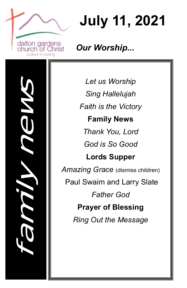

**July 11, 2021**

*Our Worship...*

family news

*Let us Worship Sing Hallelujah Faith is the Victory* **Family News** *Thank You, Lord God is So Good* **Lords Supper** *Amazing Grace* (dismiss children) Paul Swaim and Larry Slate *Father God* **Prayer of Blessing** *Ring Out the Message*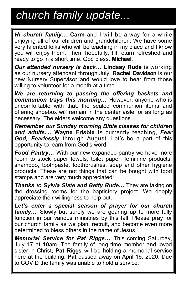# *church family update...*

*Hi church family…* **Carm** and I will be a way for a while enjoying all of our children and grandchildren. We have some very talented folks who will be teaching in my place and I know you will enjoy them. Then, hopefully, I'll return refreshed and ready to go in a short time. God bless. **Michael.**

*Our attended nursery is back...* **Lindsay Rude** is working as our nursery attendant through July. **Rachel Davidson** is our new Nursery Supervisor and would love to hear from those willing to volunteer for a month at a time.

*We are returning to passing the offering baskets and communion trays this morning…* However, anyone who is uncomfortable with that, the sealed communion items and offering shoebox will remain in the center aisle for as long as necessary. The elders welcome any questions.

*Remember our Sunday morning Bible classes for children and adults...***. Wayne Frisbie** is currently teaching, *Fear God, Fearlessly* through August. Let's be a part of this opportunity to learn from God's word.

*Food Pantry…* With our new expanded pantry we have more room to stock paper towels, toilet paper, feminine products, shampoo, toothpaste, toothbrushes, soap and other hygiene products. These are not things that can be bought with food stamps and are very much appreciated!

*Thanks to Sylvia Slate and Betty Rude…* They are taking on the dressing rooms for the baptistery project. We deeply appreciate their willingness to help out.

*Let's enter a special season of prayer for our church family…* Slowly but surely we are gearing up to more fully function in our various ministries by this fall. Please pray for our church family as we plan, recruit, and become even more determined to bless others in the name of Jesus.

*Memorial Service for Pat Riggs…* This coming Saturday, July 17 at 10am. The family of long time member and loved sister in Christ, **Pat Riggs** will be holding a memorial service here at the building. **Pat** passed away on April 16, 2020. Due to COVID the family was unable to hold a service.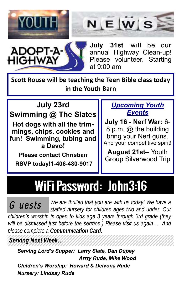





**July 31st** will be our annual Highway Clean-up! Please volunteer. Starting at 9:00 am

**Scott Rouse will be teaching the Teen Bible class today in the Youth Barn**

# **July 23rd**

**Swimming @ The Slates Hot dogs with all the trimmings, chips, cookies and fun! Swimming, tubing and a Devo!** 

**Please contact Christian RSVP today!1-406-480-9017**

#### *Upcoming Youth Events*

**July 16 - Nerf War:** 6- 8 p.m. @ the building bring your Nerf guns. And your competitive spirit!

**August 21st**– Youth Group Silverwood Trip

### WiFi Password: John3:16 Ì

*We are thrilled that you are with us today! We have a staffed nursery for children ages two and under. Our children's worship is open to kids age 3 years through 3rd grade (they will be dismissed just before the sermon.) Please visit us again… And please complete a Communication Card.* Guests

## *Serving Next Week…*

*Serving Lord's Supper: Larry Slate, Dan Dupey Arrty Rude, Mike Wood Children's Worship: Howard & Delvona Rude Nursery: Lindsay Rude*